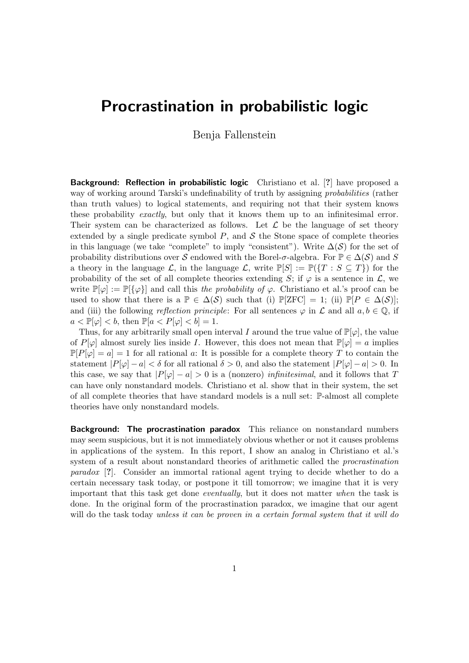## Procrastination in probabilistic logic

Benja Fallenstein

Background: Reflection in probabilistic logic Christiano et al. [?] have proposed a way of working around Tarski's undefinability of truth by assigning *probabilities* (rather than truth values) to logical statements, and requiring not that their system knows these probability *exactly*, but only that it knows them up to an infinitesimal error. Their system can be characterized as follows. Let  $\mathcal L$  be the language of set theory extended by a single predicate symbol  $P$ , and  $S$  the Stone space of complete theories in this language (we take "complete" to imply "consistent"). Write  $\Delta(S)$  for the set of probability distributions over S endowed with the Borel- $\sigma$ -algebra. For  $\mathbb{P} \in \Delta(\mathcal{S})$  and S a theory in the language L, in the language L, write  $\mathbb{P}[S] := \mathbb{P}(\{T : S \subseteq T\})$  for the probability of the set of all complete theories extending S; if  $\varphi$  is a sentence in  $\mathcal{L}$ , we write  $\mathbb{P}[\varphi] := \mathbb{P}[\{\varphi\}]$  and call this the probability of  $\varphi$ . Christiano et al.'s proof can be used to show that there is a  $\mathbb{P} \in \Delta(\mathcal{S})$  such that (i)  $\mathbb{P}[ZFC] = 1$ ; (ii)  $\mathbb{P}[P \in \Delta(\mathcal{S})]$ ; and (iii) the following reflection principle: For all sentences  $\varphi$  in  $\mathcal L$  and all  $a, b \in \mathbb Q$ , if  $a < \mathbb{P}[\varphi] < b$ , then  $\mathbb{P}[a < P[\varphi] < b] = 1$ .

Thus, for any arbitrarily small open interval I around the true value of  $\mathbb{P}[\varphi]$ , the value of P[ $\varphi$ ] almost surely lies inside *I*. However, this does not mean that  $\mathbb{P}[\varphi] = a$  implies  $\mathbb{P}[P[\varphi] = a] = 1$  for all rational a: It is possible for a complete theory T to contain the statement  $|P[\varphi] - a| < \delta$  for all rational  $\delta > 0$ , and also the statement  $|P[\varphi] - a| > 0$ . In this case, we say that  $|P[\varphi] - a| > 0$  is a (nonzero) *infinitesimal*, and it follows that T can have only nonstandard models. Christiano et al. show that in their system, the set of all complete theories that have standard models is a null set: P-almost all complete theories have only nonstandard models.

Background: The procrastination paradox This reliance on nonstandard numbers may seem suspicious, but it is not immediately obvious whether or not it causes problems in applications of the system. In this report, I show an analog in Christiano et al.'s system of a result about nonstandard theories of arithmetic called the procrastination paradox [?]. Consider an immortal rational agent trying to decide whether to do a certain necessary task today, or postpone it till tomorrow; we imagine that it is very important that this task get done eventually, but it does not matter when the task is done. In the original form of the procrastination paradox, we imagine that our agent will do the task today unless it can be proven in a certain formal system that it will do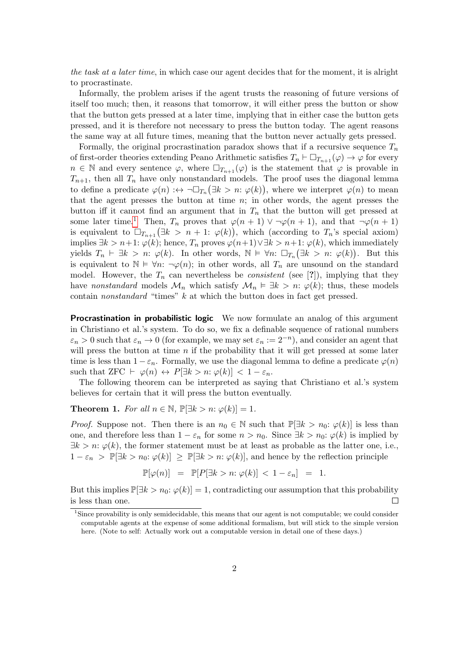the task at a later time, in which case our agent decides that for the moment, it is alright to procrastinate.

Informally, the problem arises if the agent trusts the reasoning of future versions of itself too much; then, it reasons that tomorrow, it will either press the button or show that the button gets pressed at a later time, implying that in either case the button gets pressed, and it is therefore not necessary to press the button today. The agent reasons the same way at all future times, meaning that the button never actually gets pressed.

Formally, the original procrastination paradox shows that if a recursive sequence  $T_n$ of first-order theories extending Peano Arithmetic satisfies  $T_n \vdash \Box_{T_{n+1}}(\varphi) \to \varphi$  for every  $n \in \mathbb{N}$  and every sentence  $\varphi$ , where  $\Box_{T_{n+1}}(\varphi)$  is the statement that  $\varphi$  is provable in  $T_{n+1}$ , then all  $T_n$  have only nonstandard models. The proof uses the diagonal lemma to define a predicate  $\varphi(n) : \leftrightarrow \neg \Box_{T_n} (\exists k > n : \varphi(k))$ , where we interpret  $\varphi(n)$  to mean that the agent presses the button at time  $n$ ; in other words, the agent presses the button iff it cannot find an argument that in  $T_n$  that the button will get pressed at some later time.<sup>[1](#page-1-0)</sup> Then,  $T_n$  proves that  $\varphi(n+1) \vee \neg \varphi(n+1)$ , and that  $\neg \varphi(n+1)$ is equivalent to  $\Box_{T_{n+1}}(\exists k > n+1: \varphi(k)),$  which (according to  $T_n$ 's special axiom) implies  $\exists k > n+1$ :  $\varphi(k)$ ; hence,  $T_n$  proves  $\varphi(n+1) \vee \exists k > n+1$ :  $\varphi(k)$ , which immediately yields  $T_n \vdash \exists k > n: \varphi(k)$ . In other words,  $\mathbb{N} \models \forall n: \Box_{T_n}(\exists k > n: \varphi(k))$ . But this is equivalent to  $\mathbb{N} \models \forall n: \neg \varphi(n)$ ; in other words, all  $T_n$  are unsound on the standard model. However, the  $T_n$  can nevertheless be *consistent* (see [?]), implying that they have nonstandard models  $\mathcal{M}_n$  which satisfy  $\mathcal{M}_n \vDash \exists k > n: \varphi(k)$ ; thus, these models contain nonstandard "times"  $k$  at which the button does in fact get pressed.

Procrastination in probabilistic logic We now formulate an analog of this argument in Christiano et al.'s system. To do so, we fix a definable sequence of rational numbers  $\varepsilon_n > 0$  such that  $\varepsilon_n \to 0$  (for example, we may set  $\varepsilon_n := 2^{-n}$ ), and consider an agent that will press the button at time  $n$  if the probability that it will get pressed at some later time is less than  $1 - \varepsilon_n$ . Formally, we use the diagonal lemma to define a predicate  $\varphi(n)$ such that ZFC  $\vdash \varphi(n) \leftrightarrow P[\exists k > n : \varphi(k)] < 1 - \varepsilon_n$ .

The following theorem can be interpreted as saying that Christiano et al.'s system believes for certain that it will press the button eventually.

**Theorem 1.** For all  $n \in \mathbb{N}$ ,  $\mathbb{P}[\exists k > n : \varphi(k)] = 1$ .

*Proof.* Suppose not. Then there is an  $n_0 \in \mathbb{N}$  such that  $\mathbb{P}[\exists k > n_0: \varphi(k)]$  is less than one, and therefore less than  $1 - \varepsilon_n$  for some  $n > n_0$ . Since  $\exists k > n_0: \varphi(k)$  is implied by  $\exists k > n: \varphi(k)$ , the former statement must be at least as probable as the latter one, i.e.,  $1 - \varepsilon_n > \mathbb{P}[\exists k > n_0: \varphi(k)] \geq \mathbb{P}[\exists k > n: \varphi(k)]$ , and hence by the reflection principle

$$
\mathbb{P}[\varphi(n)] = \mathbb{P}[P[\exists k > n : \varphi(k)] < 1 - \varepsilon_n] = 1.
$$

But this implies  $\mathbb{P}[\exists k > n_0: \varphi(k)] = 1$ , contradicting our assumption that this probability is less than one.  $\Box$ 

<span id="page-1-0"></span><sup>1</sup>Since provability is only semidecidable, this means that our agent is not computable; we could consider computable agents at the expense of some additional formalism, but will stick to the simple version here. (Note to self: Actually work out a computable version in detail one of these days.)